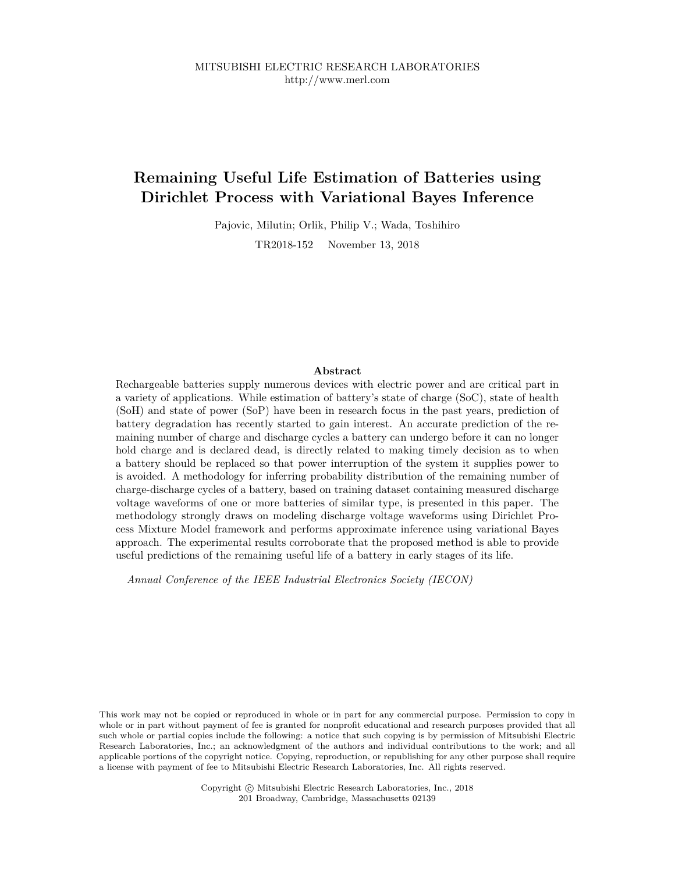# **Remaining Useful Life Estimation of Batteries using Dirichlet Process with Variational Bayes Inference**

Pajovic, Milutin; Orlik, Philip V.; Wada, Toshihiro

TR2018-152 November 13, 2018

#### **Abstract**

Rechargeable batteries supply numerous devices with electric power and are critical part in a variety of applications. While estimation of battery's state of charge (SoC), state of health (SoH) and state of power (SoP) have been in research focus in the past years, prediction of battery degradation has recently started to gain interest. An accurate prediction of the remaining number of charge and discharge cycles a battery can undergo before it can no longer hold charge and is declared dead, is directly related to making timely decision as to when a battery should be replaced so that power interruption of the system it supplies power to is avoided. A methodology for inferring probability distribution of the remaining number of charge-discharge cycles of a battery, based on training dataset containing measured discharge voltage waveforms of one or more batteries of similar type, is presented in this paper. The methodology strongly draws on modeling discharge voltage waveforms using Dirichlet Process Mixture Model framework and performs approximate inference using variational Bayes approach. The experimental results corroborate that the proposed method is able to provide useful predictions of the remaining useful life of a battery in early stages of its life.

*Annual Conference of the IEEE Industrial Electronics Society (IECON)*

This work may not be copied or reproduced in whole or in part for any commercial purpose. Permission to copy in whole or in part without payment of fee is granted for nonprofit educational and research purposes provided that all such whole or partial copies include the following: a notice that such copying is by permission of Mitsubishi Electric Research Laboratories, Inc.; an acknowledgment of the authors and individual contributions to the work; and all applicable portions of the copyright notice. Copying, reproduction, or republishing for any other purpose shall require a license with payment of fee to Mitsubishi Electric Research Laboratories, Inc. All rights reserved.

> Copyright © Mitsubishi Electric Research Laboratories, Inc., 2018 201 Broadway, Cambridge, Massachusetts 02139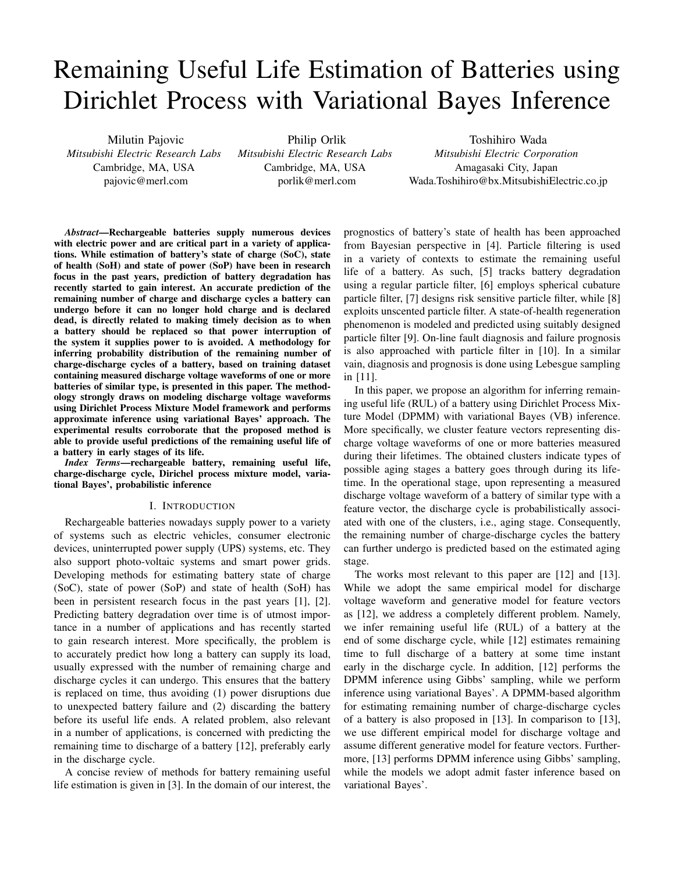# Remaining Useful Life Estimation of Batteries using Dirichlet Process with Variational Bayes Inference

Milutin Pajovic *Mitsubishi Electric Research Labs* Cambridge, MA, USA pajovic@merl.com

Philip Orlik *Mitsubishi Electric Research Labs* Cambridge, MA, USA porlik@merl.com

Toshihiro Wada *Mitsubishi Electric Corporation* Amagasaki City, Japan Wada.Toshihiro@bx.MitsubishiElectric.co.jp

*Abstract*—Rechargeable batteries supply numerous devices with electric power and are critical part in a variety of applications. While estimation of battery's state of charge (SoC), state of health (SoH) and state of power (SoP) have been in research focus in the past years, prediction of battery degradation has recently started to gain interest. An accurate prediction of the remaining number of charge and discharge cycles a battery can undergo before it can no longer hold charge and is declared dead, is directly related to making timely decision as to when a battery should be replaced so that power interruption of the system it supplies power to is avoided. A methodology for inferring probability distribution of the remaining number of charge-discharge cycles of a battery, based on training dataset containing measured discharge voltage waveforms of one or more batteries of similar type, is presented in this paper. The methodology strongly draws on modeling discharge voltage waveforms using Dirichlet Process Mixture Model framework and performs approximate inference using variational Bayes' approach. The experimental results corroborate that the proposed method is able to provide useful predictions of the remaining useful life of a battery in early stages of its life.

*Index Terms*—rechargeable battery, remaining useful life, charge-discharge cycle, Dirichel process mixture model, variational Bayes', probabilistic inference

#### I. INTRODUCTION

Rechargeable batteries nowadays supply power to a variety of systems such as electric vehicles, consumer electronic devices, uninterrupted power supply (UPS) systems, etc. They also support photo-voltaic systems and smart power grids. Developing methods for estimating battery state of charge (SoC), state of power (SoP) and state of health (SoH) has been in persistent research focus in the past years [1], [2]. Predicting battery degradation over time is of utmost importance in a number of applications and has recently started to gain research interest. More specifically, the problem is to accurately predict how long a battery can supply its load, usually expressed with the number of remaining charge and discharge cycles it can undergo. This ensures that the battery is replaced on time, thus avoiding (1) power disruptions due to unexpected battery failure and (2) discarding the battery before its useful life ends. A related problem, also relevant in a number of applications, is concerned with predicting the remaining time to discharge of a battery [12], preferably early in the discharge cycle.

A concise review of methods for battery remaining useful life estimation is given in [3]. In the domain of our interest, the prognostics of battery's state of health has been approached from Bayesian perspective in [4]. Particle filtering is used in a variety of contexts to estimate the remaining useful life of a battery. As such, [5] tracks battery degradation using a regular particle filter, [6] employs spherical cubature particle filter, [7] designs risk sensitive particle filter, while [8] exploits unscented particle filter. A state-of-health regeneration phenomenon is modeled and predicted using suitably designed particle filter [9]. On-line fault diagnosis and failure prognosis is also approached with particle filter in [10]. In a similar vain, diagnosis and prognosis is done using Lebesgue sampling in [11].

In this paper, we propose an algorithm for inferring remaining useful life (RUL) of a battery using Dirichlet Process Mixture Model (DPMM) with variational Bayes (VB) inference. More specifically, we cluster feature vectors representing discharge voltage waveforms of one or more batteries measured during their lifetimes. The obtained clusters indicate types of possible aging stages a battery goes through during its lifetime. In the operational stage, upon representing a measured discharge voltage waveform of a battery of similar type with a feature vector, the discharge cycle is probabilistically associated with one of the clusters, i.e., aging stage. Consequently, the remaining number of charge-discharge cycles the battery can further undergo is predicted based on the estimated aging stage.

The works most relevant to this paper are [12] and [13]. While we adopt the same empirical model for discharge voltage waveform and generative model for feature vectors as [12], we address a completely different problem. Namely, we infer remaining useful life (RUL) of a battery at the end of some discharge cycle, while [12] estimates remaining time to full discharge of a battery at some time instant early in the discharge cycle. In addition, [12] performs the DPMM inference using Gibbs' sampling, while we perform inference using variational Bayes'. A DPMM-based algorithm for estimating remaining number of charge-discharge cycles of a battery is also proposed in [13]. In comparison to [13], we use different empirical model for discharge voltage and assume different generative model for feature vectors. Furthermore, [13] performs DPMM inference using Gibbs' sampling, while the models we adopt admit faster inference based on variational Bayes'.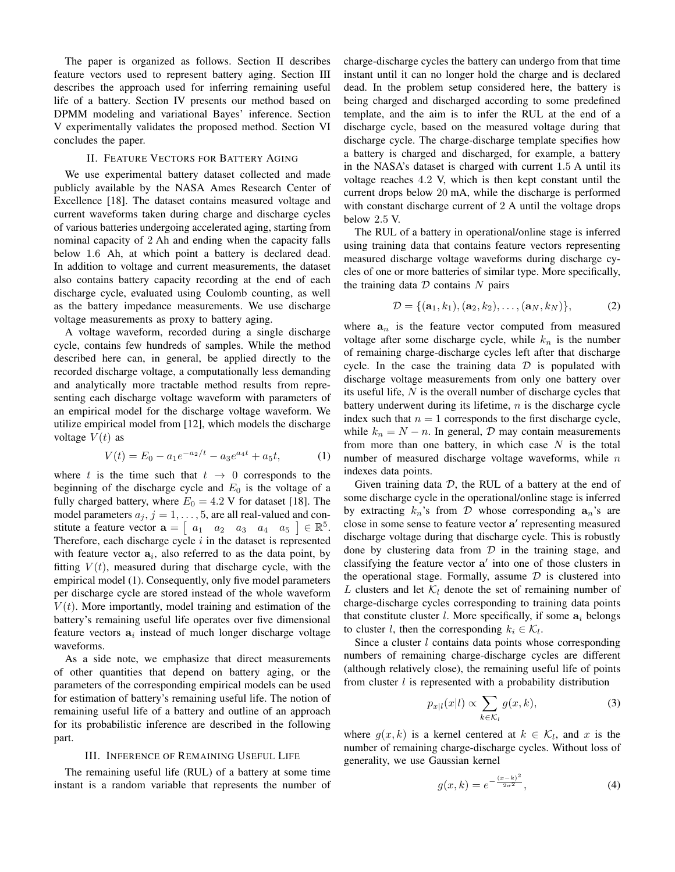The paper is organized as follows. Section II describes feature vectors used to represent battery aging. Section III describes the approach used for inferring remaining useful life of a battery. Section IV presents our method based on DPMM modeling and variational Bayes' inference. Section V experimentally validates the proposed method. Section VI concludes the paper.

# II. FEATURE VECTORS FOR BATTERY AGING

We use experimental battery dataset collected and made publicly available by the NASA Ames Research Center of Excellence [18]. The dataset contains measured voltage and current waveforms taken during charge and discharge cycles of various batteries undergoing accelerated aging, starting from nominal capacity of 2 Ah and ending when the capacity falls below 1.6 Ah, at which point a battery is declared dead. In addition to voltage and current measurements, the dataset also contains battery capacity recording at the end of each discharge cycle, evaluated using Coulomb counting, as well as the battery impedance measurements. We use discharge voltage measurements as proxy to battery aging.

A voltage waveform, recorded during a single discharge cycle, contains few hundreds of samples. While the method described here can, in general, be applied directly to the recorded discharge voltage, a computationally less demanding and analytically more tractable method results from representing each discharge voltage waveform with parameters of an empirical model for the discharge voltage waveform. We utilize empirical model from [12], which models the discharge voltage  $V(t)$  as

$$
V(t) = E_0 - a_1 e^{-a_2/t} - a_3 e^{a_4 t} + a_5 t, \tag{1}
$$

where t is the time such that  $t \rightarrow 0$  corresponds to the beginning of the discharge cycle and  $E_0$  is the voltage of a fully charged battery, where  $E_0 = 4.2$  V for dataset [18]. The model parameters  $a_j$ ,  $j = 1, \ldots, 5$ , are all real-valued and constitute a feature vector  $\mathbf{a} = \begin{bmatrix} a_1 & a_2 & a_3 & a_4 & a_5 \end{bmatrix} \in \mathbb{R}^5$ . Therefore, each discharge cycle  $i$  in the dataset is represented with feature vector  $a_i$ , also referred to as the data point, by fitting  $V(t)$ , measured during that discharge cycle, with the empirical model (1). Consequently, only five model parameters per discharge cycle are stored instead of the whole waveform  $V(t)$ . More importantly, model training and estimation of the battery's remaining useful life operates over five dimensional feature vectors  $a_i$  instead of much longer discharge voltage waveforms.

As a side note, we emphasize that direct measurements of other quantities that depend on battery aging, or the parameters of the corresponding empirical models can be used for estimation of battery's remaining useful life. The notion of remaining useful life of a battery and outline of an approach for its probabilistic inference are described in the following part.

## III. INFERENCE OF REMAINING USEFUL LIFE

The remaining useful life (RUL) of a battery at some time instant is a random variable that represents the number of charge-discharge cycles the battery can undergo from that time instant until it can no longer hold the charge and is declared dead. In the problem setup considered here, the battery is being charged and discharged according to some predefined template, and the aim is to infer the RUL at the end of a discharge cycle, based on the measured voltage during that discharge cycle. The charge-discharge template specifies how a battery is charged and discharged, for example, a battery in the NASA's dataset is charged with current 1.5 A until its voltage reaches 4.2 V, which is then kept constant until the current drops below 20 mA, while the discharge is performed with constant discharge current of 2 A until the voltage drops below 2.5 V.

The RUL of a battery in operational/online stage is inferred using training data that contains feature vectors representing measured discharge voltage waveforms during discharge cycles of one or more batteries of similar type. More specifically, the training data  $D$  contains  $N$  pairs

$$
\mathcal{D} = \{(\mathbf{a}_1, k_1), (\mathbf{a}_2, k_2), \dots, (\mathbf{a}_N, k_N)\},\tag{2}
$$

where  $a_n$  is the feature vector computed from measured voltage after some discharge cycle, while  $k_n$  is the number of remaining charge-discharge cycles left after that discharge cycle. In the case the training data  $D$  is populated with discharge voltage measurements from only one battery over its useful life,  $N$  is the overall number of discharge cycles that battery underwent during its lifetime,  $n$  is the discharge cycle index such that  $n = 1$  corresponds to the first discharge cycle, while  $k_n = N - n$ . In general, D may contain measurements from more than one battery, in which case  $N$  is the total number of measured discharge voltage waveforms, while  $n$ indexes data points.

Given training data  $D$ , the RUL of a battery at the end of some discharge cycle in the operational/online stage is inferred by extracting  $k_n$ 's from  $D$  whose corresponding  $a_n$ 's are close in some sense to feature vector a' representing measured discharge voltage during that discharge cycle. This is robustly done by clustering data from  $D$  in the training stage, and classifying the feature vector a' into one of those clusters in the operational stage. Formally, assume  $D$  is clustered into L clusters and let  $\mathcal{K}_l$  denote the set of remaining number of charge-discharge cycles corresponding to training data points that constitute cluster  $l$ . More specifically, if some  $a_i$  belongs to cluster *l*, then the corresponding  $k_i \in \mathcal{K}_l$ .

Since a cluster  $l$  contains data points whose corresponding numbers of remaining charge-discharge cycles are different (although relatively close), the remaining useful life of points from cluster  $l$  is represented with a probability distribution

$$
p_{x|l}(x|l) \propto \sum_{k \in \mathcal{K}_l} g(x,k),\tag{3}
$$

where  $g(x, k)$  is a kernel centered at  $k \in \mathcal{K}_l$ , and x is the number of remaining charge-discharge cycles. Without loss of generality, we use Gaussian kernel

$$
g(x,k) = e^{-\frac{(x-k)^2}{2\sigma^2}},
$$
\n(4)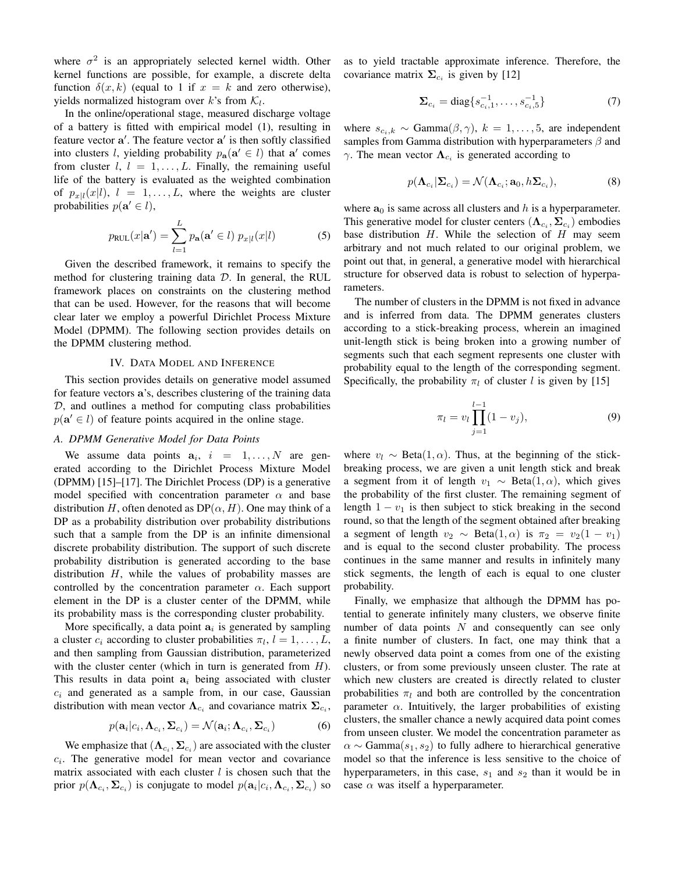where  $\sigma^2$  is an appropriately selected kernel width. Other kernel functions are possible, for example, a discrete delta function  $\delta(x, k)$  (equal to 1 if  $x = k$  and zero otherwise), yields normalized histogram over k's from  $K_l$ .

In the online/operational stage, measured discharge voltage of a battery is fitted with empirical model (1), resulting in feature vector  $a'$ . The feature vector  $a'$  is then softly classified into clusters l, yielding probability  $p_{a}(\mathbf{a}' \in l)$  that  $\mathbf{a}'$  comes from cluster  $l, l = 1, \ldots, L$ . Finally, the remaining useful life of the battery is evaluated as the weighted combination of  $p_{x|l}(x|l), l = 1, \ldots, L$ , where the weights are cluster probabilities  $p(\mathbf{a}' \in l)$ ,

$$
p_{\text{RUL}}(x|\mathbf{a}') = \sum_{l=1}^{L} p_{\mathbf{a}}(\mathbf{a}' \in l) \ p_{x|l}(x|l) \tag{5}
$$

Given the described framework, it remains to specify the method for clustering training data  $D$ . In general, the RUL framework places on constraints on the clustering method that can be used. However, for the reasons that will become clear later we employ a powerful Dirichlet Process Mixture Model (DPMM). The following section provides details on the DPMM clustering method.

# IV. DATA MODEL AND INFERENCE

This section provides details on generative model assumed for feature vectors a's, describes clustering of the training data  $D$ , and outlines a method for computing class probabilities  $p(\mathbf{a}' \in l)$  of feature points acquired in the online stage.

#### *A. DPMM Generative Model for Data Points*

We assume data points  $a_i$ ,  $i = 1, ..., N$  are generated according to the Dirichlet Process Mixture Model (DPMM) [15]–[17]. The Dirichlet Process (DP) is a generative model specified with concentration parameter  $\alpha$  and base distribution H, often denoted as  $DP(\alpha, H)$ . One may think of a DP as a probability distribution over probability distributions such that a sample from the DP is an infinite dimensional discrete probability distribution. The support of such discrete probability distribution is generated according to the base distribution  $H$ , while the values of probability masses are controlled by the concentration parameter  $\alpha$ . Each support element in the DP is a cluster center of the DPMM, while its probability mass is the corresponding cluster probability.

More specifically, a data point  $a_i$  is generated by sampling a cluster  $c_i$  according to cluster probabilities  $\pi_l$ ,  $l = 1, \ldots, L$ , and then sampling from Gaussian distribution, parameterized with the cluster center (which in turn is generated from  $H$ ). This results in data point  $a_i$  being associated with cluster  $c_i$  and generated as a sample from, in our case, Gaussian distribution with mean vector  $\Lambda_{c_i}$  and covariance matrix  $\Sigma_{c_i}$ ,

$$
p(\mathbf{a}_i|c_i, \mathbf{\Lambda}_{c_i}, \mathbf{\Sigma}_{c_i}) = \mathcal{N}(\mathbf{a}_i; \mathbf{\Lambda}_{c_i}, \mathbf{\Sigma}_{c_i})
$$
(6)

We emphasize that  $(\bm{\Lambda}_{c_i},\bm{\Sigma}_{c_i})$  are associated with the cluster  $c_i$ . The generative model for mean vector and covariance matrix associated with each cluster  $l$  is chosen such that the prior  $p(\Lambda_{c_i}, \Sigma_{c_i})$  is conjugate to model  $p(\mathbf{a}_i|c_i, \Lambda_{c_i}, \Sigma_{c_i})$  so as to yield tractable approximate inference. Therefore, the covariance matrix  $\Sigma_{c_i}$  is given by [12]

$$
\Sigma_{c_i} = \text{diag}\{s_{c_i,1}^{-1}, \dots, s_{c_i,5}^{-1}\}\tag{7}
$$

where  $s_{c_i,k} \sim \text{Gamma}(\beta, \gamma)$ ,  $k = 1, ..., 5$ , are independent samples from Gamma distribution with hyperparameters  $\beta$  and  $\gamma$ . The mean vector  $\Lambda_{c_i}$  is generated according to

$$
p(\mathbf{\Lambda}_{c_i}|\mathbf{\Sigma}_{c_i}) = \mathcal{N}(\mathbf{\Lambda}_{c_i}; \mathbf{a}_0, h\mathbf{\Sigma}_{c_i}),
$$
\n(8)

where  $a_0$  is same across all clusters and h is a hyperparameter. This generative model for cluster centers  $(\mathbf{\Lambda}_{c_i}, \mathbf{\Sigma}_{c_i})$  embodies base distribution  $H$ . While the selection of  $H$  may seem arbitrary and not much related to our original problem, we point out that, in general, a generative model with hierarchical structure for observed data is robust to selection of hyperparameters.

The number of clusters in the DPMM is not fixed in advance and is inferred from data. The DPMM generates clusters according to a stick-breaking process, wherein an imagined unit-length stick is being broken into a growing number of segments such that each segment represents one cluster with probability equal to the length of the corresponding segment. Specifically, the probability  $\pi_l$  of cluster l is given by [15]

$$
\pi_l = v_l \prod_{j=1}^{l-1} (1 - v_j),\tag{9}
$$

where  $v_l \sim \text{Beta}(1, \alpha)$ . Thus, at the beginning of the stickbreaking process, we are given a unit length stick and break a segment from it of length  $v_1 \sim \text{Beta}(1, \alpha)$ , which gives the probability of the first cluster. The remaining segment of length  $1 - v_1$  is then subject to stick breaking in the second round, so that the length of the segment obtained after breaking a segment of length  $v_2 \sim \text{Beta}(1, \alpha)$  is  $\pi_2 = v_2(1 - v_1)$ and is equal to the second cluster probability. The process continues in the same manner and results in infinitely many stick segments, the length of each is equal to one cluster probability.

Finally, we emphasize that although the DPMM has potential to generate infinitely many clusters, we observe finite number of data points  $N$  and consequently can see only a finite number of clusters. In fact, one may think that a newly observed data point a comes from one of the existing clusters, or from some previously unseen cluster. The rate at which new clusters are created is directly related to cluster probabilities  $\pi_l$  and both are controlled by the concentration parameter  $\alpha$ . Intuitively, the larger probabilities of existing clusters, the smaller chance a newly acquired data point comes from unseen cluster. We model the concentration parameter as  $\alpha \sim \text{Gamma}(s_1, s_2)$  to fully adhere to hierarchical generative model so that the inference is less sensitive to the choice of hyperparameters, in this case,  $s_1$  and  $s_2$  than it would be in case  $\alpha$  was itself a hyperparameter.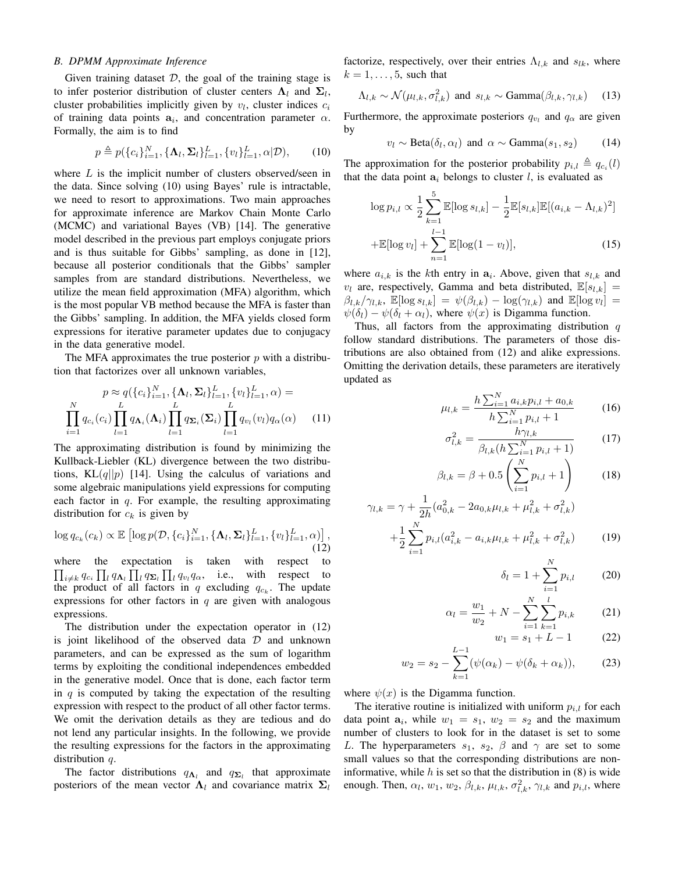# *B. DPMM Approximate Inference*

Given training dataset  $D$ , the goal of the training stage is to infer posterior distribution of cluster centers  $\Lambda_l$  and  $\Sigma_l$ , cluster probabilities implicitly given by  $v_l$ , cluster indices  $c_i$ of training data points  $a_i$ , and concentration parameter  $\alpha$ . Formally, the aim is to find

$$
p \triangleq p(\{c_i\}_{i=1}^N, {\{\Lambda_l, \Sigma_l\}_{l=1}^L, {\{v_l\}_{l=1}^L, \alpha | \mathcal{D}}),
$$
 (10)

where  $L$  is the implicit number of clusters observed/seen in the data. Since solving (10) using Bayes' rule is intractable, we need to resort to approximations. Two main approaches for approximate inference are Markov Chain Monte Carlo (MCMC) and variational Bayes (VB) [14]. The generative model described in the previous part employs conjugate priors and is thus suitable for Gibbs' sampling, as done in [12], because all posterior conditionals that the Gibbs' sampler samples from are standard distributions. Nevertheless, we utilize the mean field approximation (MFA) algorithm, which is the most popular VB method because the MFA is faster than the Gibbs' sampling. In addition, the MFA yields closed form expressions for iterative parameter updates due to conjugacy in the data generative model.

The MFA approximates the true posterior  $p$  with a distribution that factorizes over all unknown variables,

$$
p \approx q(\{c_i\}_{i=1}^N, {\{\mathbf{\Lambda}}_l, {\boldsymbol{\Sigma}}_l\}_{l=1}^L, {\{v_l\}}_{l=1}^L, \alpha) = \prod_{i=1}^N q_{c_i}(c_i) \prod_{l=1}^L q_{\mathbf{\Lambda}_i}(\mathbf{\Lambda}_i) \prod_{l=1}^L q_{\boldsymbol{\Sigma}_i}({\boldsymbol{\Sigma}}_i) \prod_{l=1}^L q_{v_l}(v_l) q_{\alpha}(\alpha) \qquad (11)
$$

The approximating distribution is found by minimizing the Kullback-Liebler (KL) divergence between the two distributions,  $KL(q||p)$  [14]. Using the calculus of variations and some algebraic manipulations yield expressions for computing each factor in  $q$ . For example, the resulting approximating distribution for  $c_k$  is given by

$$
\log q_{c_k}(c_k) \propto \mathbb{E}\left[\log p(\mathcal{D}, \{c_i\}_{i=1}^N, \{\mathbf{\Lambda}_l, \mathbf{\Sigma}_l\}_{l=1}^L, \{v_l\}_{l=1}^L, \alpha)\right],
$$
\n(12)

where the expectation is taken with respect to  $\prod_{i \neq k} q_{c_i} \prod_l q_{\mathbf{\Lambda}_l} \prod_l q_{\Sigma_l} \prod_l q_{v_l} q_{\alpha}$ , i.e., with respect to the product of all factors in q excluding  $q_{c_k}$ . The update expressions for other factors in  $q$  are given with analogous expressions.

The distribution under the expectation operator in (12) is joint likelihood of the observed data  $D$  and unknown parameters, and can be expressed as the sum of logarithm terms by exploiting the conditional independences embedded in the generative model. Once that is done, each factor term in  $q$  is computed by taking the expectation of the resulting expression with respect to the product of all other factor terms. We omit the derivation details as they are tedious and do not lend any particular insights. In the following, we provide the resulting expressions for the factors in the approximating distribution  $q$ .

The factor distributions  $q_{\Lambda_l}$  and  $q_{\Sigma_l}$  that approximate posteriors of the mean vector  $\Lambda_l$  and covariance matrix  $\Sigma_l$ 

factorize, respectively, over their entries  $\Lambda_{l,k}$  and  $s_{lk}$ , where  $k = 1, \ldots, 5$ , such that

$$
\Lambda_{l,k} \sim \mathcal{N}(\mu_{l,k}, \sigma_{l,k}^2) \text{ and } s_{l,k} \sim \text{Gamma}(\beta_{l,k}, \gamma_{l,k}) \quad (13)
$$

Furthermore, the approximate posteriors  $q_{v_l}$  and  $q_{\alpha}$  are given by

$$
v_l \sim \text{Beta}(\delta_l, \alpha_l)
$$
 and  $\alpha \sim \text{Gamma}(s_1, s_2)$  (14)

The approximation for the posterior probability  $p_{i,l} \triangleq q_{c_i}(l)$ that the data point  $a_i$  belongs to cluster l, is evaluated as

$$
\log p_{i,l} \propto \frac{1}{2} \sum_{k=1}^{5} \mathbb{E}[\log s_{l,k}] - \frac{1}{2} \mathbb{E}[s_{l,k}] \mathbb{E}[(a_{i,k} - \Lambda_{l,k})^2]
$$

$$
+ \mathbb{E}[\log v_l] + \sum_{n=1}^{l-1} \mathbb{E}[\log(1 - v_l)],
$$
(15)

where  $a_{i,k}$  is the kth entry in  $a_i$ . Above, given that  $s_{l,k}$  and  $v_l$  are, respectively, Gamma and beta distributed,  $\mathbb{E}[s_{l,k}] =$  $\beta_{l,k}/\gamma_{l,k}$ ,  $\mathbb{E}[\log s_{l,k}] = \psi(\beta_{l,k}) - \log(\gamma_{l,k})$  and  $\mathbb{E}[\log v_l] =$  $\psi(\delta_l) - \psi(\delta_l + \alpha_l)$ , where  $\psi(x)$  is Digamma function.

Thus, all factors from the approximating distribution  $q$ follow standard distributions. The parameters of those distributions are also obtained from (12) and alike expressions. Omitting the derivation details, these parameters are iteratively updated as

$$
\mu_{l,k} = \frac{h \sum_{i=1}^{N} a_{i,k} p_{i,l} + a_{0,k}}{h \sum_{i=1}^{N} p_{i,l} + 1}
$$
(16)

$$
\sigma_{l,k}^2 = \frac{h\gamma_{l,k}}{\beta_{l,k}(h\sum_{i=1}^N p_{i,l} + 1)}
$$
(17)

$$
\beta_{l,k} = \beta + 0.5 \left( \sum_{i=1}^{N} p_{i,l} + 1 \right) \tag{18}
$$

$$
\gamma_{l,k} = \gamma + \frac{1}{2h} (a_{0,k}^2 - 2a_{0,k}\mu_{l,k} + \mu_{l,k}^2 + \sigma_{l,k}^2)
$$

$$
+\frac{1}{2}\sum_{i=1}^{N}p_{i,l}(a_{i,k}^2-a_{i,k}\mu_{l,k}+\mu_{l,k}^2+\sigma_{l,k}^2)
$$
 (19)

$$
\delta_l = 1 + \sum_{i=1}^{N} p_{i,l} \qquad (20)
$$

$$
\alpha_l = \frac{w_1}{w_2} + N - \sum_{i=1}^{N} \sum_{k=1}^{l} p_{i,k} \tag{21}
$$

$$
w_1 = s_1 + L - 1 \tag{22}
$$

$$
w_2 = s_2 - \sum_{k=1}^{L-1} (\psi(\alpha_k) - \psi(\delta_k + \alpha_k)),
$$
 (23)

where  $\psi(x)$  is the Digamma function.

The iterative routine is initialized with uniform  $p_{i,l}$  for each data point  $a_i$ , while  $w_1 = s_1$ ,  $w_2 = s_2$  and the maximum number of clusters to look for in the dataset is set to some L. The hyperparameters  $s_1$ ,  $s_2$ ,  $\beta$  and  $\gamma$  are set to some small values so that the corresponding distributions are noninformative, while  $h$  is set so that the distribution in  $(8)$  is wide enough. Then,  $\alpha_l$ ,  $w_1$ ,  $w_2$ ,  $\beta_{l,k}$ ,  $\mu_{l,k}$ ,  $\sigma_{l,k}^2$ ,  $\gamma_{l,k}$  and  $p_{i,l}$ , where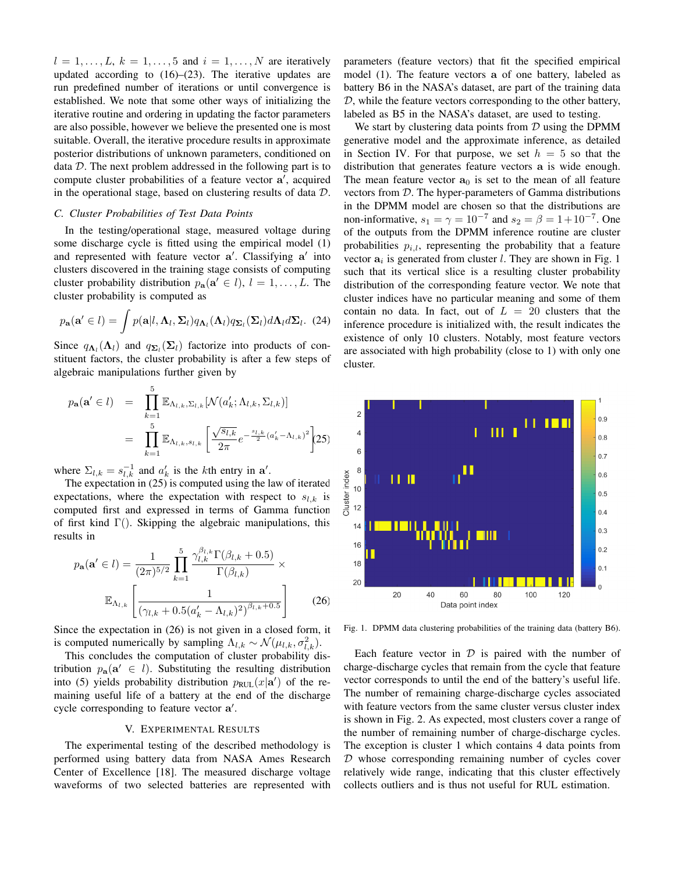$l = 1, \ldots, L, k = 1, \ldots, 5$  and  $i = 1, \ldots, N$  are iteratively updated according to  $(16)$ – $(23)$ . The iterative updates are run predefined number of iterations or until convergence is established. We note that some other ways of initializing the iterative routine and ordering in updating the factor parameters are also possible, however we believe the presented one is most suitable. Overall, the iterative procedure results in approximate posterior distributions of unknown parameters, conditioned on data  $D$ . The next problem addressed in the following part is to compute cluster probabilities of a feature vector a', acquired in the operational stage, based on clustering results of data  $D$ .

#### *C. Cluster Probabilities of Test Data Points*

In the testing/operational stage, measured voltage during some discharge cycle is fitted using the empirical model (1) and represented with feature vector a'. Classifying a' into clusters discovered in the training stage consists of computing cluster probability distribution  $p_{\mathbf{a}}(\mathbf{a}' \in l)$ ,  $l = 1, \ldots, L$ . The cluster probability is computed as

$$
p_{\mathbf{a}}(\mathbf{a}' \in l) = \int p(\mathbf{a}|l, \mathbf{\Lambda}_l, \mathbf{\Sigma}_l) q_{\mathbf{\Lambda}_l}(\mathbf{\Lambda}_l) q_{\mathbf{\Sigma}_l}(\mathbf{\Sigma}_l) d\mathbf{\Lambda}_l d\mathbf{\Sigma}_l.
$$
 (24)

Since  $q_{\mathbf{\Lambda}_l}(\mathbf{\Lambda}_l)$  and  $q_{\mathbf{\Sigma}_l}(\mathbf{\Sigma}_l)$  factorize into products of constituent factors, the cluster probability is after a few steps of algebraic manipulations further given by

$$
p_{\mathbf{a}}(\mathbf{a}' \in l) = \prod_{k=1}^{5} \mathbb{E}_{\Lambda_{l,k},\Sigma_{l,k}}[\mathcal{N}(a'_{k};\Lambda_{l,k},\Sigma_{l,k})]
$$
  
= 
$$
\prod_{k=1}^{5} \mathbb{E}_{\Lambda_{l,k},s_{l,k}}\left[\frac{\sqrt{s_{l,k}}}{2\pi}e^{-\frac{s_{l,k}}{2}(a'_{k}-\Lambda_{l,k})^{2}}\right]
$$
(25)

where  $\Sigma_{l,k} = s_{l,k}^{-1}$  and  $a'_k$  is the kth entry in  $a'$ .

The expectation in (25) is computed using the law of iterated expectations, where the expectation with respect to  $s_{l,k}$  is computed first and expressed in terms of Gamma function of first kind  $\Gamma$ (). Skipping the algebraic manipulations, this results in

$$
p_{\mathbf{a}}(\mathbf{a}' \in l) = \frac{1}{(2\pi)^{5/2}} \prod_{k=1}^{5} \frac{\gamma_{l,k}^{\beta_{l,k}} \Gamma(\beta_{l,k} + 0.5)}{\Gamma(\beta_{l,k})} \times \mathbb{E}_{\Lambda_{l,k}} \left[ \frac{1}{(\gamma_{l,k} + 0.5(a'_k - \Lambda_{l,k})^2)^{\beta_{l,k} + 0.5}} \right]
$$
(26)

Since the expectation in (26) is not given in a closed form, it is computed numerically by sampling  $\Lambda_{l,k} \sim \mathcal{N}(\mu_{l,k}, \sigma_{l,k}^2)$ .

This concludes the computation of cluster probability distribution  $p_a(a' \in l)$ . Substituting the resulting distribution into (5) yields probability distribution  $p_{\text{RUL}}(x|\mathbf{a}')$  of the remaining useful life of a battery at the end of the discharge cycle corresponding to feature vector a'.

#### V. EXPERIMENTAL RESULTS

The experimental testing of the described methodology is performed using battery data from NASA Ames Research Center of Excellence [18]. The measured discharge voltage waveforms of two selected batteries are represented with parameters (feature vectors) that fit the specified empirical model (1). The feature vectors a of one battery, labeled as battery B6 in the NASA's dataset, are part of the training data  $D$ , while the feature vectors corresponding to the other battery, labeled as B5 in the NASA's dataset, are used to testing.

We start by clustering data points from  $D$  using the DPMM generative model and the approximate inference, as detailed in Section IV. For that purpose, we set  $h = 5$  so that the distribution that generates feature vectors a is wide enough. The mean feature vector  $a_0$  is set to the mean of all feature vectors from  $D$ . The hyper-parameters of Gamma distributions in the DPMM model are chosen so that the distributions are non-informative,  $s_1 = \gamma = 10^{-7}$  and  $s_2 = \beta = 1 + 10^{-7}$ . One of the outputs from the DPMM inference routine are cluster probabilities  $p_{i,l}$ , representing the probability that a feature vector  $a_i$  is generated from cluster *l*. They are shown in Fig. 1 such that its vertical slice is a resulting cluster probability distribution of the corresponding feature vector. We note that cluster indices have no particular meaning and some of them contain no data. In fact, out of  $L = 20$  clusters that the inference procedure is initialized with, the result indicates the existence of only 10 clusters. Notably, most feature vectors are associated with high probability (close to 1) with only one cluster.



Fig. 1. DPMM data clustering probabilities of the training data (battery B6).

Each feature vector in  $D$  is paired with the number of charge-discharge cycles that remain from the cycle that feature vector corresponds to until the end of the battery's useful life. The number of remaining charge-discharge cycles associated with feature vectors from the same cluster versus cluster index is shown in Fig. 2. As expected, most clusters cover a range of the number of remaining number of charge-discharge cycles. The exception is cluster 1 which contains 4 data points from  $D$  whose corresponding remaining number of cycles cover relatively wide range, indicating that this cluster effectively collects outliers and is thus not useful for RUL estimation.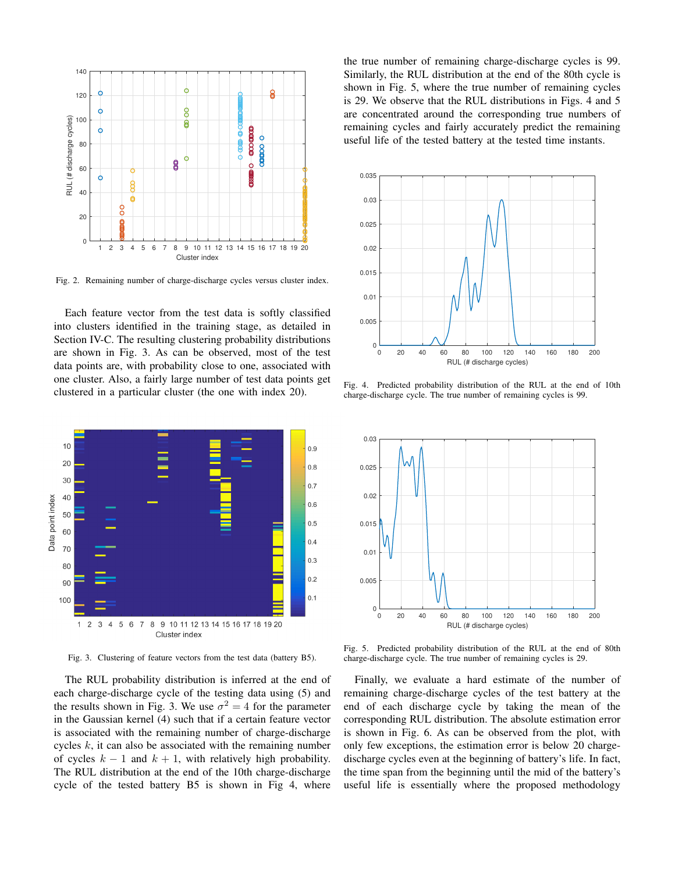

Fig. 2. Remaining number of charge-discharge cycles versus cluster index.

Each feature vector from the test data is softly classified into clusters identified in the training stage, as detailed in Section IV-C. The resulting clustering probability distributions are shown in Fig. 3. As can be observed, most of the test data points are, with probability close to one, associated with one cluster. Also, a fairly large number of test data points get clustered in a particular cluster (the one with index 20).



Fig. 3. Clustering of feature vectors from the test data (battery B5).

The RUL probability distribution is inferred at the end of each charge-discharge cycle of the testing data using (5) and the results shown in Fig. 3. We use  $\sigma^2 = 4$  for the parameter in the Gaussian kernel (4) such that if a certain feature vector is associated with the remaining number of charge-discharge cycles  $k$ , it can also be associated with the remaining number of cycles  $k - 1$  and  $k + 1$ , with relatively high probability. The RUL distribution at the end of the 10th charge-discharge cycle of the tested battery B5 is shown in Fig 4, where the true number of remaining charge-discharge cycles is 99. Similarly, the RUL distribution at the end of the 80th cycle is shown in Fig. 5, where the true number of remaining cycles is 29. We observe that the RUL distributions in Figs. 4 and 5 are concentrated around the corresponding true numbers of remaining cycles and fairly accurately predict the remaining useful life of the tested battery at the tested time instants.



Fig. 4. Predicted probability distribution of the RUL at the end of 10th charge-discharge cycle. The true number of remaining cycles is 99.



Fig. 5. Predicted probability distribution of the RUL at the end of 80th charge-discharge cycle. The true number of remaining cycles is 29.

Finally, we evaluate a hard estimate of the number of remaining charge-discharge cycles of the test battery at the end of each discharge cycle by taking the mean of the corresponding RUL distribution. The absolute estimation error is shown in Fig. 6. As can be observed from the plot, with only few exceptions, the estimation error is below 20 chargedischarge cycles even at the beginning of battery's life. In fact, the time span from the beginning until the mid of the battery's useful life is essentially where the proposed methodology